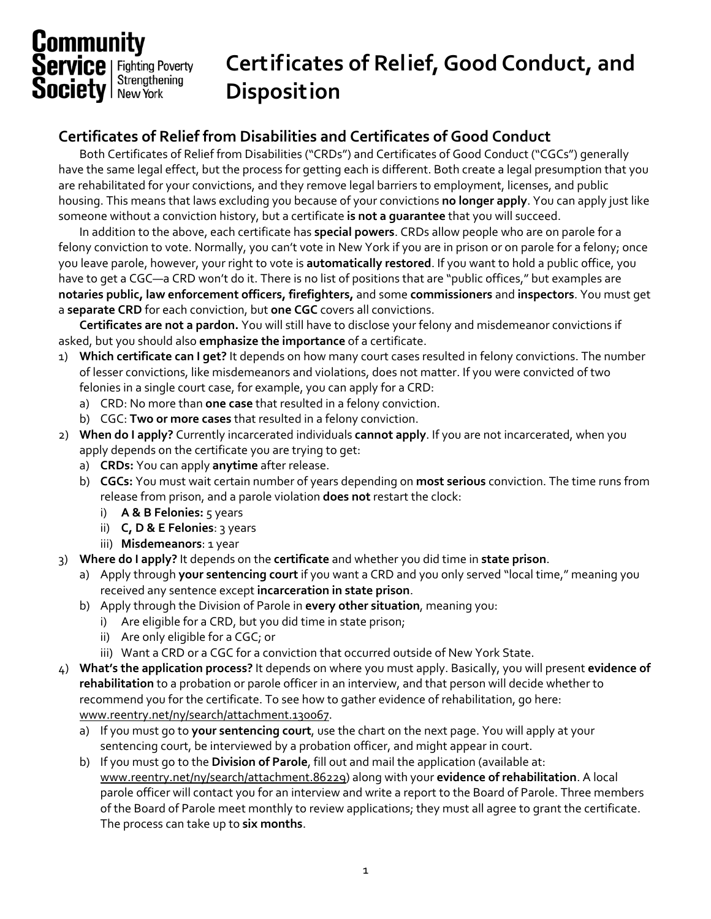## **Community**<br>**Service** | Fighting Poverty<br>**Society** | New York

## **Certificates of Relief, Good Conduct, and Disposition**

## **Certificates of Relief from Disabilities and Certificates of Good Conduct**

Both Certificates of Relief from Disabilities ("CRDs") and Certificates of Good Conduct ("CGCs") generally have the same legal effect, but the process for getting each is different. Both create a legal presumption that you are rehabilitated for your convictions, and they remove legal barriers to employment, licenses, and public housing. This means that laws excluding you because of your convictions **no longer apply**. You can apply just like someone without a conviction history, but a certificate **is not a guarantee** that you will succeed.

In addition to the above, each certificate has **special powers**. CRDs allow people who are on parole for a felony conviction to vote. Normally, you can't vote in New York if you are in prison or on parole for a felony; once you leave parole, however, your right to vote is **automatically restored**. If you want to hold a public office, you have to get a CGC—a CRD won't do it. There is no list of positions that are "public offices," but examples are **notaries public, law enforcement officers, firefighters,** and some **commissioners** and **inspectors**. You must get a **separate CRD** for each conviction, but **one CGC** covers all convictions.

**Certificates are not a pardon.** You will still have to disclose your felony and misdemeanor convictions if asked, but you should also **emphasize the importance** of a certificate.

- 1) **Which certificate can I get?** It depends on how many court cases resulted in felony convictions. The number of lesser convictions, like misdemeanors and violations, does not matter. If you were convicted of two felonies in a single court case, for example, you can apply for a CRD:
	- a) CRD: No more than **one case** that resulted in a felony conviction.
	- b) CGC: **Two or more cases** that resulted in a felony conviction.
- 2) **When do I apply?** Currently incarcerated individuals **cannot apply**. If you are not incarcerated, when you apply depends on the certificate you are trying to get:
	- a) **CRDs:** You can apply **anytime** after release.
	- b) **CGCs:** You must wait certain number of years depending on **most serious** conviction. The time runs from release from prison, and a parole violation **does not** restart the clock:
		- i) **A & B Felonies:** 5 years
		- ii) **C, D & E Felonies**: 3 years
		- iii) **Misdemeanors**: 1 year
- 3) **Where do I apply?** It depends on the **certificate** and whether you did time in **state prison**.
	- a) Apply through **your sentencing court** if you want a CRD and you only served "local time," meaning you received any sentence except **incarceration in state prison**.
	- b) Apply through the Division of Parole in **every other situation**, meaning you:
		- i) Are eligible for a CRD, but you did time in state prison;
		- ii) Are only eligible for a CGC; or
		- iii) Want a CRD or a CGC for a conviction that occurred outside of New York State.
- 4) **What's the application process?** It depends on where you must apply. Basically, you will present **evidence of rehabilitation** to a probation or parole officer in an interview, and that person will decide whether to recommend you for the certificate. To see how to gather evidence of rehabilitation, go here: www.reentry.net/ny/search/attachment.130067.
	- a) If you must go to **your sentencing court**, use the chart on the next page. You will apply at your sentencing court, be interviewed by a probation officer, and might appear in court.
	- b) If you must go to the **Division of Parole**, fill out and mail the application (available at: www.reentry.net/ny/search/attachment.86229) along with your **evidence of rehabilitation**. A local parole officer will contact you for an interview and write a report to the Board of Parole. Three members of the Board of Parole meet monthly to review applications; they must all agree to grant the certificate. The process can take up to **six months**.